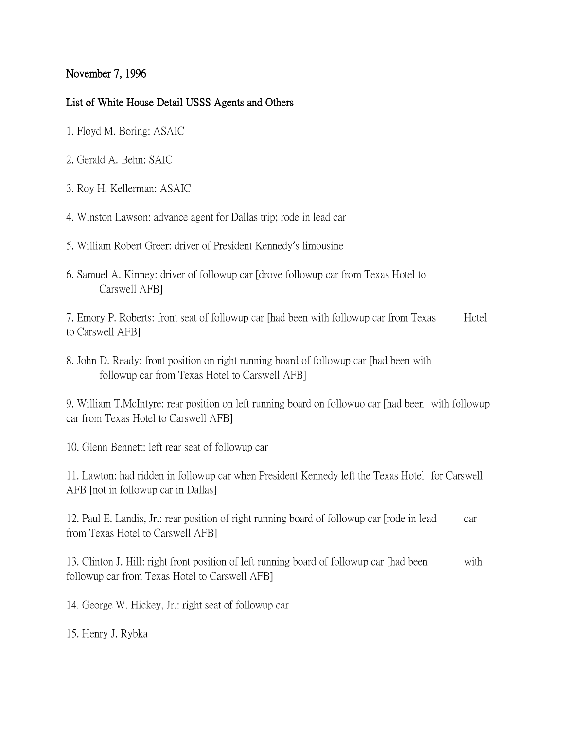## November 7, 1996

## List of White House Detail USSS Agents and Others

- 1. Floyd M. Boring: ASAIC
- 2. Gerald A. Behn: SAIC
- 3. Roy H. Kellerman: ASAIC
- 4. Winston Lawson: advance agent for Dallas trip; rode in lead car
- 5. William Robert Greer: driver of President Kennedy's limousine
- 6. Samuel A. Kinney: driver of followup car [drove followup car from Texas Hotel to Carswell AFB]

7. Emory P. Roberts: front seat of followup car [had been with followup car from Texas Hotel to Carswell AFB]

8. John D. Ready: front position on right running board of followup car [had been with followup car from Texas Hotel to Carswell AFB]

9. William T.McIntyre: rear position on left running board on followuo car [had been with followup car from Texas Hotel to Carswell AFB]

10. Glenn Bennett: left rear seat of followup car

11. Lawton: had ridden in followup car when President Kennedy left the Texas Hotel for Carswell AFB [not in followup car in Dallas]

12. Paul E. Landis, Jr.: rear position of right running board of followup car [rode in lead car from Texas Hotel to Carswell AFB]

13. Clinton J. Hill: right front position of left running board of followup car [had been with followup car from Texas Hotel to Carswell AFB]

14. George W. Hickey, Jr.: right seat of followup car

15. Henry J. Rybka